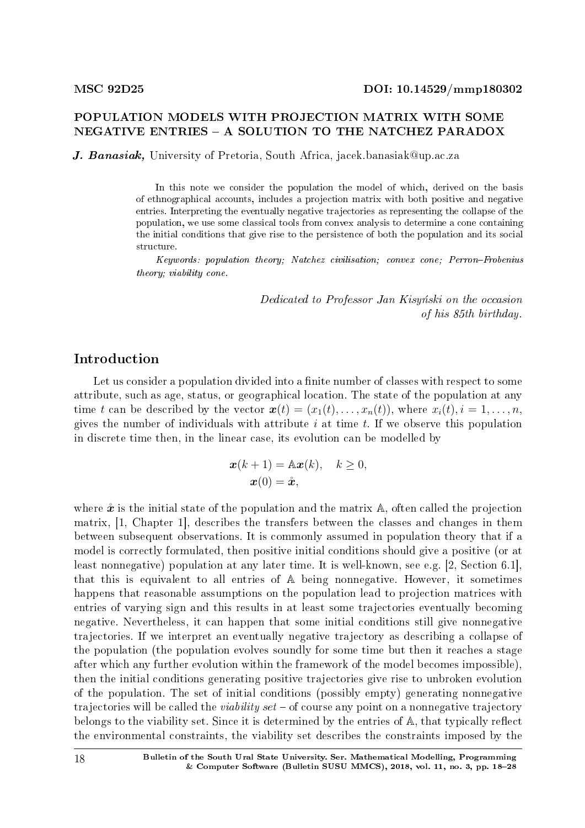## POPULATION MODELS WITH PROJECTION MATRIX WITH SOME NEGATIVE ENTRIES A SOLUTION TO THE NATCHEZ PARADOX

J. Banasiak, University of Pretoria, South Africa, jacek.banasiak@up.ac.za

In this note we consider the population the model of which, derived on the basis of ethnographical accounts, includes a projection matrix with both positive and negative entries. Interpreting the eventually negative trajectories as representing the collapse of the population, we use some classical tools from convex analysis to determine a cone containing the initial conditions that give rise to the persistence of both the population and its social structure.

Keywords: population theory; Natchez civilisation; convex cone; Perron-Frobenius theory; viability cone.

> Dedicated to Professor Jan Kisynski on the occasion of his 85th birthday.

## Introduction

Let us consider a population divided into a finite number of classes with respect to some attribute, such as age, status, or geographical location. The state of the population at any time *t* can be described by the vector  $\mathbf{x}(t) = (x_1(t), \ldots, x_n(t))$ , where  $x_i(t), i = 1, \ldots, n$ , gives the number of individuals with attribute *i* at time *t*. If we observe this population in discrete time then, in the linear case, its evolution can be modelled by

$$
\begin{aligned} \mathbf{x}(k+1) &= \mathbb{A}\mathbf{x}(k), \quad k \ge 0, \\ \mathbf{x}(0) &= \mathring{\mathbf{x}}, \end{aligned}
$$

where  $\mathbf{\hat{x}}$  is the initial state of the population and the matrix  $\mathbf{A}$ , often called the projection matrix, [1, Chapter 1], describes the transfers between the classes and changes in them between subsequent observations. It is commonly assumed in population theory that if a model is correctly formulated, then positive initial conditions should give a positive (or at least nonnegative) population at any later time. It is well-known, see e.g. [2, Section 6.1], that this is equivalent to all entries of A being nonnegative. However, it sometimes happens that reasonable assumptions on the population lead to projection matrices with entries of varying sign and this results in at least some trajectories eventually becoming negative. Nevertheless, it can happen that some initial conditions still give nonnegative trajectories. If we interpret an eventually negative trajectory as describing a collapse of the population (the population evolves soundly for some time but then it reaches a stage after which any further evolution within the framework of the model becomes impossible), then the initial conditions generating positive trajectories give rise to unbroken evolution of the population. The set of initial conditions (possibly empty) generating nonnegative trajectories will be called the *viability set* – of course any point on a nonnegative trajectory belongs to the viability set. Since it is determined by the entries of  $A$ , that typically reflect the environmental constraints, the viability set describes the constraints imposed by the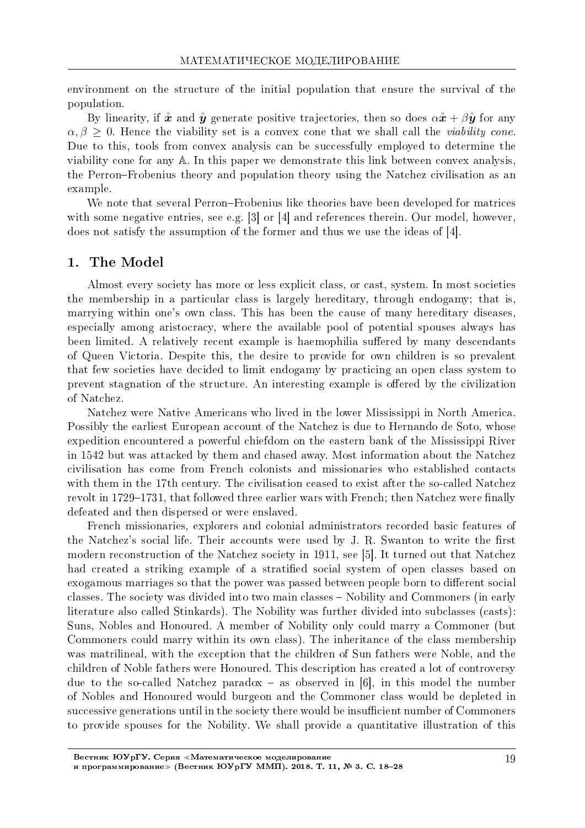environment on the structure of the initial population that ensure the survival of the population.

By linearity, if  $\mathring{x}$  and  $\mathring{y}$  generate positive trajectories, then so does  $\alpha \mathring{x} + \beta \mathring{y}$  for any  $\alpha, \beta \geq 0$ . Hence the viability set is a convex cone that we shall call the *viability cone*. Due to this, tools from convex analysis can be successfully employed to determine the viability cone for any A. In this paper we demonstrate this link between convex analysis. the Perron-Frobenius theory and population theory using the Natchez civilisation as an example.

We note that several Perron-Frobenius like theories have been developed for matrices with some negative entries, see e.g.  $|3|$  or  $|4|$  and references therein. Our model, however. does not satisfy the assumption of the former and thus we use the ideas of  $[4]$ .

#### $1.$ The Model

Almost every society has more or less explicit class, or cast, system. In most societies the membership in a particular class is largely hereditary, through endogamy; that is marrying within one's own class. This has been the cause of many hereditary diseases. especially among aristocracy, where the available pool of potential spouses always has been limited. A relatively recent example is haemophilia suffered by many descendants of Queen Victoria. Despite this, the desire to provide for own children is so prevalent that few societies have decided to limit endogamy by practicing an open class system to prevent stagnation of the structure. An interesting example is offered by the civilization of Natchez.

Natchez were Native Americans who lived in the lower Mississippi in North America. Possibly the earliest European account of the Natchez is due to Hernando de Soto, whose expedition encountered a powerful chiefdom on the eastern bank of the Mississippi River in 1542 but was attacked by them and chased away. Most information about the Natchez civilisation has come from French colonists and missionaries who established contacts with them in the 17th century. The civilisation ceased to exist after the so-called Natchez revolt in 1729–1731, that followed three earlier wars with French; then Natchez were finally defeated and then dispersed or were enslaved.

French missionaries, explorers and colonial administrators recorded basic features of the Natchez's social life. Their accounts were used by J. R. Swanton to write the first modern reconstruction of the Natchez society in 1911, see [5]. It turned out that Natchez had created a striking example of a stratified social system of open classes based on exogamous marriages so that the power was passed between people born to different social classes. The society was divided into two main classes – Nobility and Commoners (in early literature also called Stinkards). The Nobility was further divided into subclasses (casts): Suns, Nobles and Honoured. A member of Nobility only could marry a Commoner (but Commoners could marry within its own class). The inheritance of the class membership was matrilineal, with the exception that the children of Sun fathers were Noble, and the children of Noble fathers were Honoured. This description has created a lot of controversy due to the so-called Natchez paradox – as observed in [6], in this model the number of Nobles and Honoured would burgeon and the Commoner class would be depleted in successive generations until in the society there would be insufficient number of Commoners to provide spouses for the Nobility. We shall provide a quantitative illustration of this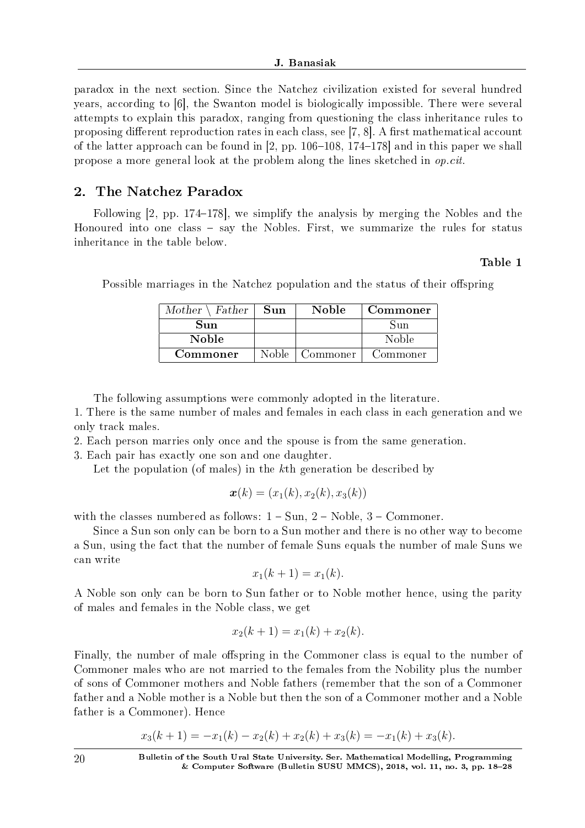paradox in the next section. Since the Natchez civilization existed for several hundred years, according to [6], the Swanton model is biologically impossible. There were several attempts to explain this paradox, ranging from questioning the class inheritance rules to proposing different reproduction rates in each class, see  $[7, 8]$ . A first mathematical account of the latter approach can be found in  $[2, pp. 106-108, 174-178]$  and in this paper we shall propose a more general look at the problem along the lines sketched in op.cit.

# 2. The Natchez Paradox

Following  $[2, pp. 174-178]$ , we simplify the analysis by merging the Nobles and the Honoured into one class  $-$  say the Nobles. First, we summarize the rules for status inheritance in the table below.

## Table 1

| $Mother \setminus Father$ | Sun   | Noble.   | Commoner |
|---------------------------|-------|----------|----------|
| Sun                       |       |          | Sun      |
| <b>Noble</b>              |       |          | Noble    |
| Commoner                  | Noble | Commoner | Commoner |

Possible marriages in the Natchez population and the status of their offspring

The following assumptions were commonly adopted in the literature.

1. There is the same number of males and females in each class in each generation and we only track males.

2. Each person marries only once and the spouse is from the same generation.

3. Each pair has exactly one son and one daughter.

Let the population (of males) in the *k*th generation be described by

$$
\boldsymbol{x}(k) = (x_1(k), x_2(k), x_3(k))
$$

with the classes numbered as follows:  $1 - Sun$ ,  $2 - Noble$ ,  $3 - Commoner$ .

Since a Sun son only can be born to a Sun mother and there is no other way to become a Sun, using the fact that the number of female Suns equals the number of male Suns we can write

$$
x_1(k+1) = x_1(k).
$$

A Noble son only can be born to Sun father or to Noble mother hence, using the parity of males and females in the Noble class, we get

$$
x_2(k+1) = x_1(k) + x_2(k).
$$

Finally, the number of male offspring in the Commoner class is equal to the number of Commoner males who are not married to the females from the Nobility plus the number of sons of Commoner mothers and Noble fathers (remember that the son of a Commoner father and a Noble mother is a Noble but then the son of a Commoner mother and a Noble father is a Commoner). Hence

$$
x_3(k+1) = -x_1(k) - x_2(k) + x_2(k) + x_3(k) = -x_1(k) + x_3(k).
$$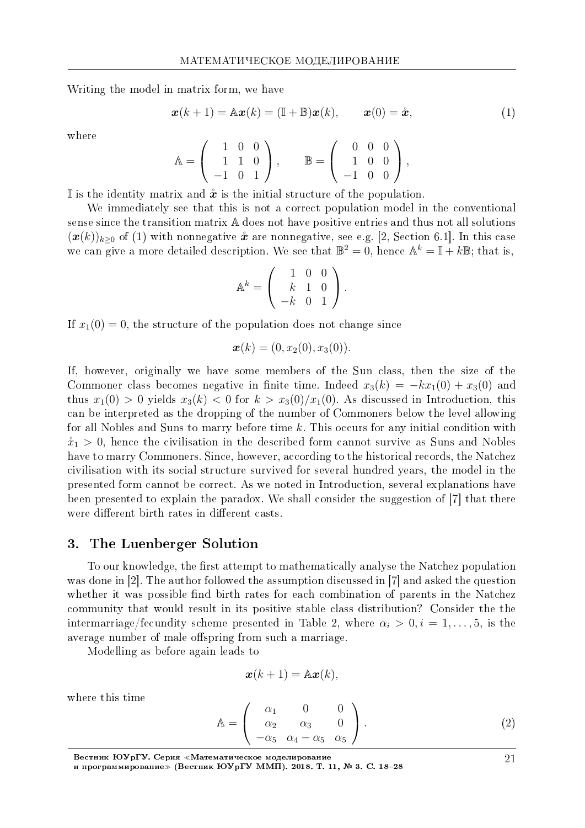Writing the model in matrix form, we have

$$
\boldsymbol{x}(k+1) = \mathbb{A}\boldsymbol{x}(k) = (\mathbb{I} + \mathbb{B})\boldsymbol{x}(k), \qquad \boldsymbol{x}(0) = \mathring{\boldsymbol{x}}, \tag{1}
$$

where

$$
\mathbb{A} = \left( \begin{array}{rrr} 1 & 0 & 0 \\ 1 & 1 & 0 \\ -1 & 0 & 1 \end{array} \right), \qquad \mathbb{B} = \left( \begin{array}{rrr} 0 & 0 & 0 \\ 1 & 0 & 0 \\ -1 & 0 & 0 \end{array} \right),
$$

If is the identity matrix and  $\hat{x}$  is the initial structure of the population.

We immediately see that this is not a correct population model in the conventional sense since the transition matrix A does not have positive entries and thus not all solutions  $(\mathbf{x}(k))_{k\geq0}$  of (1) with nonnegative  $\mathbf{\hat{x}}$  are nonnegative, see e.g. [2, Section 6.1]. In this case we can give a more detailed description. We see that  $\mathbb{B}^2 = 0$ , hence  $\mathbb{A}^k = \mathbb{I} + k\mathbb{B}$ ; that is,

$$
\mathbb{A}^{k} = \left( \begin{array}{rrr} 1 & 0 & 0 \\ k & 1 & 0 \\ -k & 0 & 1 \end{array} \right).
$$

If  $x_1(0) = 0$ , the structure of the population does not change since

$$
\boldsymbol{x}(k) = (0, x_2(0), x_3(0)).
$$

If, however, originally we have some members of the Sun class, then the size of the Commoner class becomes negative in finite time. Indeed  $x_3(k) = -kx_1(0) + x_3(0)$  and thus  $x_1(0) > 0$  yields  $x_3(k) < 0$  for  $k > x_3(0)/x_1(0)$ . As discussed in Introduction, this can be interpreted as the dropping of the number of Commoners below the level allowing for all Nobles and Suns to marry before time *k*. This occurs for any initial condition with  $\mathring{x}_1 > 0$ , hence the civilisation in the described form cannot survive as Suns and Nobles have to marry Commoners. Since, however, according to the historical records, the Natchez civilisation with its social structure survived for several hundred years, the model in the presented form cannot be correct. As we noted in Introduction, several explanations have been presented to explain the paradox. We shall consider the suggestion of [7] that there were different birth rates in different casts.

#### 3. The Luenberger Solution

To our knowledge, the first attempt to mathematically analyse the Natchez population was done in [2]. The author followed the assumption discussed in [7] and asked the question whether it was possible find birth rates for each combination of parents in the Natchez community that would result in its positive stable class distribution? Consider the the intermarriage/fecundity scheme presented in Table 2, where  $\alpha_i > 0, i = 1, \ldots, 5$ , is the average number of male offspring from such a marriage.

Modelling as before again leads to

$$
\boldsymbol{x}(k+1) = \mathbb{A}\boldsymbol{x}(k),
$$

where this time

$$
\mathbb{A} = \begin{pmatrix} \alpha_1 & 0 & 0 \\ \alpha_2 & \alpha_3 & 0 \\ -\alpha_5 & \alpha_4 - \alpha_5 & \alpha_5 \end{pmatrix} . \tag{2}
$$

Вестник ЮУрГУ. Серия «Математическое моделирование и программирование≫ (Вестник ЮУрГУ ММП). 2018. T. 11, № 3. C. 18–28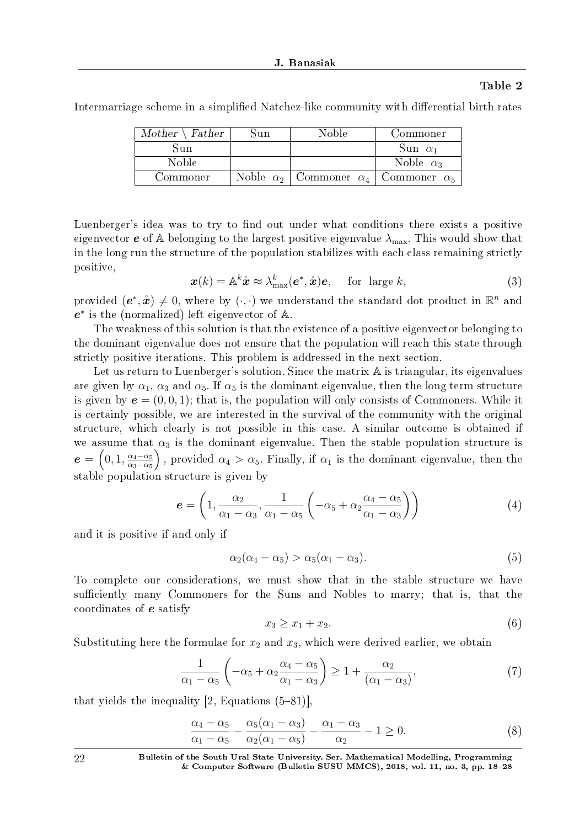## Table 2

Intermarriage scheme in a simplified Natchez-like community with differential birth rates

| $Mother \setminus Father$ | Sun              | Noble               | Commoner            |
|---------------------------|------------------|---------------------|---------------------|
| Sun                       |                  |                     | Sun $\alpha_1$      |
| Noble                     |                  |                     | Noble $\alpha_3$    |
| Commoner                  | Noble $\alpha_2$ | Commoner $\alpha_4$ | Commoner $\alpha_5$ |

Luenberger's idea was to try to find out under what conditions there exists a positive eigenvector  $e$  of A belonging to the largest positive eigenvalue  $\lambda_{\text{max}}$ . This would show that in the long run the structure of the population stabilizes with each class remaining strictly positive,

$$
\boldsymbol{x}(k) = \mathbb{A}^k \hat{\boldsymbol{x}} \approx \lambda_{\max}^k(\boldsymbol{e}^*, \hat{\boldsymbol{x}}) \boldsymbol{e}, \quad \text{for large } k,
$$
 (3)

provided  $(e^*, \mathring{x}) \neq 0$ , where by  $(\cdot, \cdot)$  we understand the standard dot product in  $\mathbb{R}^n$  and *e ∗* is the (normalized) left eigenvector of A.

The weakness of this solution is that the existence of a positive eigenvector belonging to the dominant eigenvalue does not ensure that the population will reach this state through strictly positive iterations. This problem is addressed in the next section.

Let us return to Luenberger's solution. Since the matrix A is triangular, its eigenvalues are given by  $\alpha_1$ ,  $\alpha_3$  and  $\alpha_5$ . If  $\alpha_5$  is the dominant eigenvalue, then the long term structure is given by  $e = (0, 0, 1)$ ; that is, the population will only consists of Commoners. While it is certainly possible, we are interested in the survival of the community with the original structure, which clearly is not possible in this case. A similar outcome is obtained if we assume that  $\alpha_3$  is the dominant eigenvalue. Then the stable population structure is  $e = \left(0, 1, \frac{\alpha_4 - \alpha_5}{\alpha_2 - \alpha_5}\right)$ *α*3*−α*<sup>5</sup> ), provided  $\alpha_4 > \alpha_5$ . Finally, if  $\alpha_1$  is the dominant eigenvalue, then the stable population structure is given by

$$
\boldsymbol{e} = \left(1, \frac{\alpha_2}{\alpha_1 - \alpha_3}, \frac{1}{\alpha_1 - \alpha_5} \left( -\alpha_5 + \alpha_2 \frac{\alpha_4 - \alpha_5}{\alpha_1 - \alpha_3} \right) \right) \tag{4}
$$

and it is positive if and only if

$$
\alpha_2(\alpha_4 - \alpha_5) > \alpha_5(\alpha_1 - \alpha_3). \tag{5}
$$

To complete our considerations, we must show that in the stable structure we have sufficiently many Commoners for the Suns and Nobles to marry; that is, that the coordinates of *e* satisfy

$$
x_3 \ge x_1 + x_2. \tag{6}
$$

Substituting here the formulae for  $x_2$  and  $x_3$ , which were derived earlier, we obtain

$$
\frac{1}{\alpha_1 - \alpha_5} \left( -\alpha_5 + \alpha_2 \frac{\alpha_4 - \alpha_5}{\alpha_1 - \alpha_3} \right) \ge 1 + \frac{\alpha_2}{(\alpha_1 - \alpha_3)},\tag{7}
$$

that yields the inequality  $[2, Equations (5–81)],$ 

$$
\frac{\alpha_4 - \alpha_5}{\alpha_1 - \alpha_5} - \frac{\alpha_5(\alpha_1 - \alpha_3)}{\alpha_2(\alpha_1 - \alpha_5)} - \frac{\alpha_1 - \alpha_3}{\alpha_2} - 1 \ge 0.
$$
\n(8)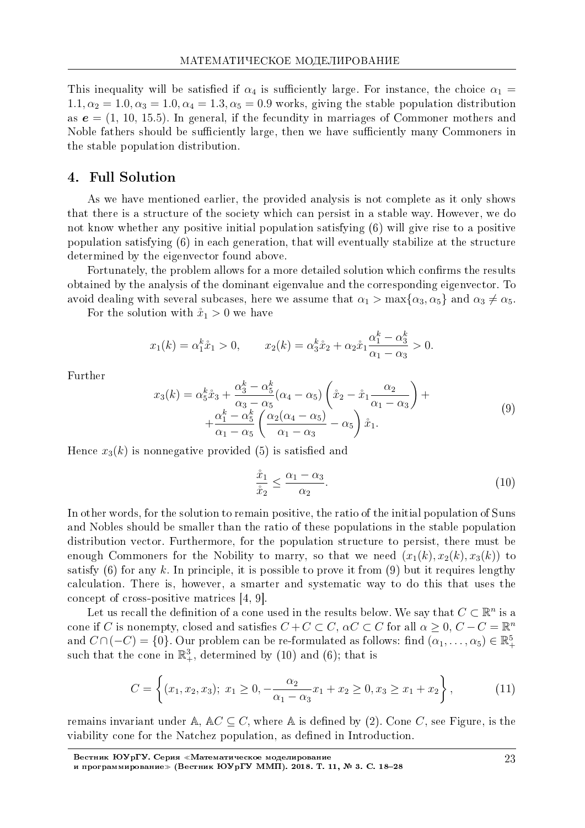This inequality will be satisfied if  $\alpha_4$  is sufficiently large. For instance, the choice  $\alpha_1 =$  $1.1, \alpha_2 = 1.0, \alpha_3 = 1.0, \alpha_4 = 1.3, \alpha_5 = 0.9$  works, giving the stable population distribution as  $e = (1, 10, 15.5)$ . In general, if the fecundity in marriages of Commoner mothers and Noble fathers should be sufficiently large, then we have sufficiently many Commoners in the stable population distribution.

#### **Full Solution**  $4.$

As we have mentioned earlier, the provided analysis is not complete as it only shows that there is a structure of the society which can persist in a stable way. However, we do not know whether any positive initial population satisfying (6) will give rise to a positive population satisfying (6) in each generation, that will eventually stabilize at the structure determined by the eigenvector found above.

Fortunately, the problem allows for a more detailed solution which confirms the results obtained by the analysis of the dominant eigenvalue and the corresponding eigenvector. To avoid dealing with several subcases, here we assume that  $\alpha_1 > \max{\alpha_3, \alpha_5}$  and  $\alpha_3 \neq \alpha_5$ 

For the solution with  $\mathring{x}_1 > 0$  we have

$$
x_1(k) = \alpha_1^k \hat{x}_1 > 0,
$$
  $x_2(k) = \alpha_3^k \hat{x}_2 + \alpha_2 \hat{x}_1 \frac{\alpha_1^k - \alpha_3^k}{\alpha_1 - \alpha_3} > 0$ 

Further

$$
x_3(k) = \alpha_5^k \mathring{x}_3 + \frac{\alpha_3^k - \alpha_5^k}{\alpha_3 - \alpha_5} (\alpha_4 - \alpha_5) \left( \mathring{x}_2 - \mathring{x}_1 \frac{\alpha_2}{\alpha_1 - \alpha_3} \right) + + \frac{\alpha_1^k - \alpha_5^k}{\alpha_1 - \alpha_5} \left( \frac{\alpha_2(\alpha_4 - \alpha_5)}{\alpha_1 - \alpha_3} - \alpha_5 \right) \mathring{x}_1.
$$
 (9)

Hence  $x_3(k)$  is nonnegative provided (5) is satisfied and

$$
\frac{\mathring{x}_1}{\mathring{x}_2} \le \frac{\alpha_1 - \alpha_3}{\alpha_2}.\tag{10}
$$

In other words, for the solution to remain positive, the ratio of the initial population of Suns and Nobles should be smaller than the ratio of these populations in the stable population distribution vector. Furthermore, for the population structure to persist, there must be enough Commoners for the Nobility to marry, so that we need  $(x_1(k), x_2(k), x_3(k))$  to satisfy (6) for any k. In principle, it is possible to prove it from (9) but it requires lengthy calculation. There is, however, a smarter and systematic way to do this that uses the concept of cross-positive matrices  $[4, 9]$ .

Let us recall the definition of a cone used in the results below. We say that  $C \subset \mathbb{R}^n$  is a cone if C is nonempty, closed and satisfies  $C + C \subset C$ ,  $\alpha C \subset C$  for all  $\alpha \geq 0$ ,  $C - C = \mathbb{R}^n$ and  $C \cap (-C) = \{0\}$ . Our problem can be re-formulated as follows: find  $(\alpha_1, \ldots, \alpha_5) \in \mathbb{R}^5$ . such that the cone in  $\mathbb{R}^3_+$ , determined by (10) and (6); that is

$$
C = \left\{ (x_1, x_2, x_3); \ x_1 \ge 0, -\frac{\alpha_2}{\alpha_1 - \alpha_3} x_1 + x_2 \ge 0, x_3 \ge x_1 + x_2 \right\},\tag{11}
$$

remains invariant under A,  $AC \subseteq C$ , where A is defined by (2). Cone C, see Figure, is the viability cone for the Natchez population, as defined in Introduction.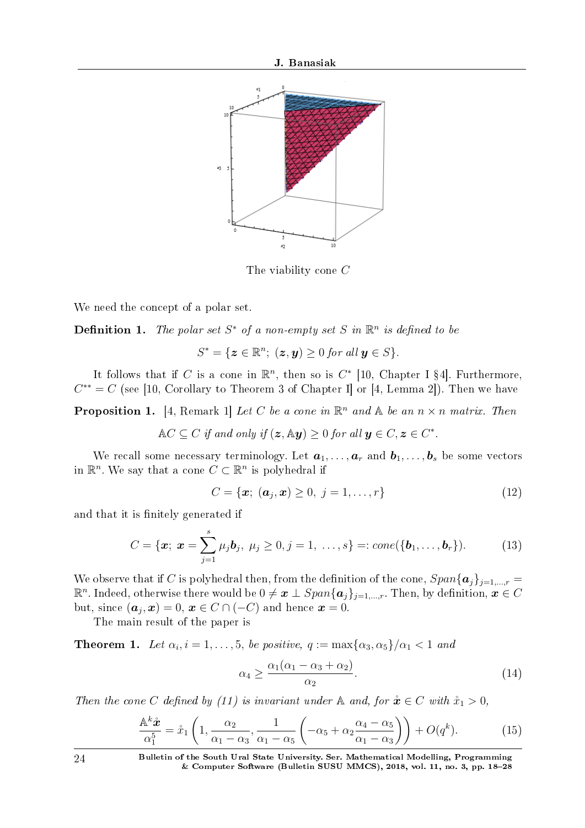

The viability cone *C*

We need the concept of a polar set.

**Definition 1.** The polar set  $S^*$  of a non-empty set  $S$  in  $\mathbb{R}^n$  is defined to be

$$
S^* = \{ \boldsymbol{z} \in \mathbb{R}^n; \ (\boldsymbol{z}, \boldsymbol{y}) \geq 0 \ for \ all \ \boldsymbol{y} \in S \}.
$$

It follows that if *C* is a cone in  $\mathbb{R}^n$ , then so is  $C^*$  [10, Chapter I §4]. Furthermore,  $C^{**} = C$  (see [10, Corollary to Theorem 3 of Chapter I] or [4, Lemma 2]). Then we have

**Proposition 1.** [4, Remark 1] Let C be a cone in  $\mathbb{R}^n$  and  $\mathbb{A}$  be an  $n \times n$  matrix. Then

$$
\mathbb{A}C \subseteq C \text{ if and only if } (\mathbf{z}, \mathbb{A}\mathbf{y}) \geq 0 \text{ for all } \mathbf{y} \in C, \mathbf{z} \in C^*.
$$

We recall some necessary terminology. Let  $a_1, \ldots, a_r$  and  $b_1, \ldots, b_s$  be some vectors in  $\mathbb{R}^n$ . We say that a cone  $C \subset \mathbb{R}^n$  is polyhedral if

$$
C = \{x; \; (a_j, x) \ge 0, \; j = 1, \dots, r\}
$$
\n(12)

and that it is finitely generated if

$$
C = \{ \boldsymbol{x}; \ \boldsymbol{x} = \sum_{j=1}^{s} \mu_j \boldsymbol{b}_j, \ \mu_j \geq 0, j = 1, \ \ldots, s \} =: cone(\{\boldsymbol{b}_1, \ldots, \boldsymbol{b}_r\}). \tag{13}
$$

We observe that if *C* is polyhedral then, from the definition of the cone,  $Span{\{a_j\}}_{j=1,\dots,r}$  $\mathbb{R}^n$ . Indeed, otherwise there would be  $0 \neq \bm{x} \perp Span\{\bm{a}_j\}_{j=1,...,r}.$  Then, by definition,  $\bm{x} \in C$ but, since  $(\boldsymbol{a}_j, \boldsymbol{x}) = 0, \, \boldsymbol{x} \in C \cap (-C)$  and hence  $\boldsymbol{x} = 0.$ 

The main result of the paper is

**Theorem 1.** Let  $\alpha_i$ ,  $i = 1, \ldots, 5$ , be positive,  $q := \max{\{\alpha_3, \alpha_5\}}/{\alpha_1} < 1$  and

$$
\alpha_4 \ge \frac{\alpha_1(\alpha_1 - \alpha_3 + \alpha_2)}{\alpha_2}.\tag{14}
$$

Then the cone *C* defined by (11) is invariant under  $\mathbb{A}$  and, for  $\mathbf{\hat{x}} \in C$  with  $\mathbf{\hat{x}}_1 > 0$ ,

$$
\frac{\mathbb{A}^k \mathring{x}}{\alpha_1^5} = \mathring{x}_1 \left( 1, \frac{\alpha_2}{\alpha_1 - \alpha_3}, \frac{1}{\alpha_1 - \alpha_5} \left( -\alpha_5 + \alpha_2 \frac{\alpha_4 - \alpha_5}{\alpha_1 - \alpha_3} \right) \right) + O(q^k). \tag{15}
$$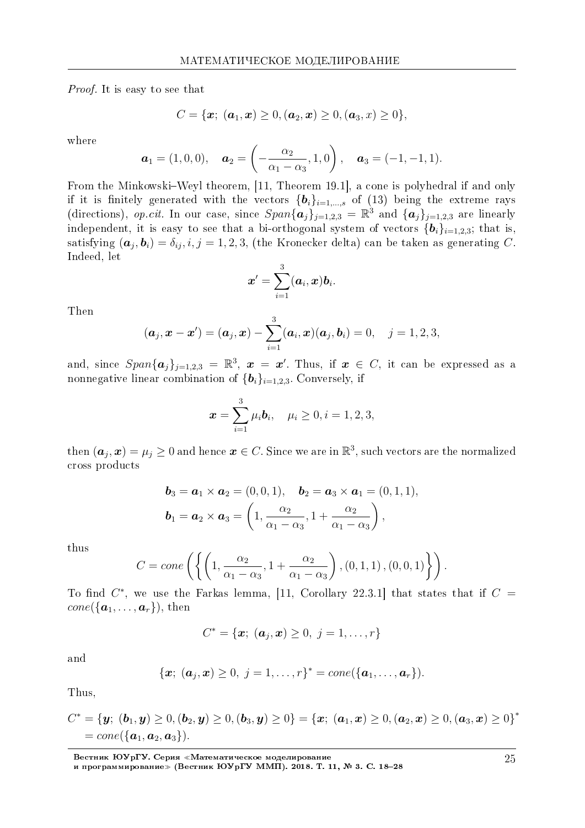*Proof.* It is easy to see that

$$
C = \{\bm{x}; \; (\bm{a}_1, \bm{x}) \geq 0, (\bm{a}_2, \bm{x}) \geq 0, (\bm{a}_3, x) \geq 0\},
$$

where

$$
\boldsymbol{a}_1 = (1, 0, 0), \quad \boldsymbol{a}_2 = \left(-\frac{\alpha_2}{\alpha_1 - \alpha_3}, 1, 0\right), \quad \boldsymbol{a}_3 = (-1, -1, 1).
$$

From the Minkowski-Weyl theorem, [11, Theorem 19.1], a cone is polyhedral if and only if it is finitely generated with the vectors  $\{b_i\}_{i=1,\dots,s}$  of (13) being the extreme rays (directions), op.cit. In our case, since  $Span\{\boldsymbol{a}_j\}_{j=1,2,3} = \mathbb{R}^3$  and  $\{\boldsymbol{a}_j\}_{j=1,2,3}$  are linearly independent, it is easy to see that a bi-orthogonal system of vectors  $\{b_i\}_{i=1,2,3}$ ; that is, satisfying  $(a_i, b_i) = \delta_{ij}, i, j = 1, 2, 3$ , (the Kronecker delta) can be taken as generating C. Indeed, let

$$
\boldsymbol{x}' = \sum_{i=1}^3 (\boldsymbol{a}_i, \boldsymbol{x}) \boldsymbol{b}_i.
$$

Then

$$
(\boldsymbol{a}_j, \boldsymbol{x} - \boldsymbol{x}') = (\boldsymbol{a}_j, \boldsymbol{x}) - \sum_{i=1}^3 (\boldsymbol{a}_i, \boldsymbol{x}) (\boldsymbol{a}_j, \boldsymbol{b}_i) = 0, \quad j = 1, 2, 3,
$$

and, since  $Span\{\boldsymbol{a}_i\}_{i=1,2,3} = \mathbb{R}^3$ ,  $\boldsymbol{x} = \boldsymbol{x}'$ . Thus, if  $\boldsymbol{x} \in C$ , it can be expressed as a nonnegative linear combination of  $\{b_i\}_{i=1,2,3}$ . Conversely, if

$$
\boldsymbol{x} = \sum_{i=1}^3 \mu_i \boldsymbol{b}_i, \quad \mu_i \geq 0, i = 1, 2, 3,
$$

then  $(a_j, x) = \mu_j \ge 0$  and hence  $x \in C$ . Since we are in  $\mathbb{R}^3$ , such vectors are the normalized cross products

$$
\boldsymbol{b}_3 = \boldsymbol{a}_1 \times \boldsymbol{a}_2 = (0, 0, 1), \quad \boldsymbol{b}_2 = \boldsymbol{a}_3 \times \boldsymbol{a}_1 = (0, 1, 1), \boldsymbol{b}_1 = \boldsymbol{a}_2 \times \boldsymbol{a}_3 = \left(1, \frac{\alpha_2}{\alpha_1 - \alpha_3}, 1 + \frac{\alpha_2}{\alpha_1 - \alpha_3}\right),
$$

thus

$$
C = cone\left(\left\{ \left(1, \frac{\alpha_2}{\alpha_1 - \alpha_3}, 1 + \frac{\alpha_2}{\alpha_1 - \alpha_3}\right), (0, 1, 1), (0, 0, 1)\right\} \right)
$$

To find  $C^*$ , we use the Farkas lemma, [11, Corollary 22.3.1] that states that if  $C =$  $cone({\bf{a}}_1,\ldots,{\bf{a}}_r),$  then

$$
C^* = {\mathbf{x}; \; (\mathbf{a}_j, \mathbf{x}) \geq 0, \; j = 1, \ldots, r}
$$

and

$$
\{x; (a_j, x) \geq 0, j = 1, ..., r\}^* = cone(\{a_1, ..., a_r\}).
$$

Thus,

$$
C^* = {\boldsymbol{y}; ({\boldsymbol{b}}_1,{\boldsymbol{y}}) \geq 0, ({\boldsymbol{b}}_2,{\boldsymbol{y}}) \geq 0, ({\boldsymbol{b}}_3,{\boldsymbol{y}}) \geq 0} = {\boldsymbol{x}; ({\boldsymbol{a}}_1,{\boldsymbol{x}}) \geq 0, ({\boldsymbol{a}}_2,{\boldsymbol{x}}) \geq 0, ({\boldsymbol{a}}_3,{\boldsymbol{x}}) \geq 0}^*
$$
  
=  $cone({\{\boldsymbol{a}}_1,\boldsymbol{a}_2,\boldsymbol{a}_3\}).$ 

Вестник ЮУрГУ. Серия «Математическое моделирование<br>и программирование» (Вестник ЮУрГУ ММП). 2018. Т. 11, № 3. С. 18–28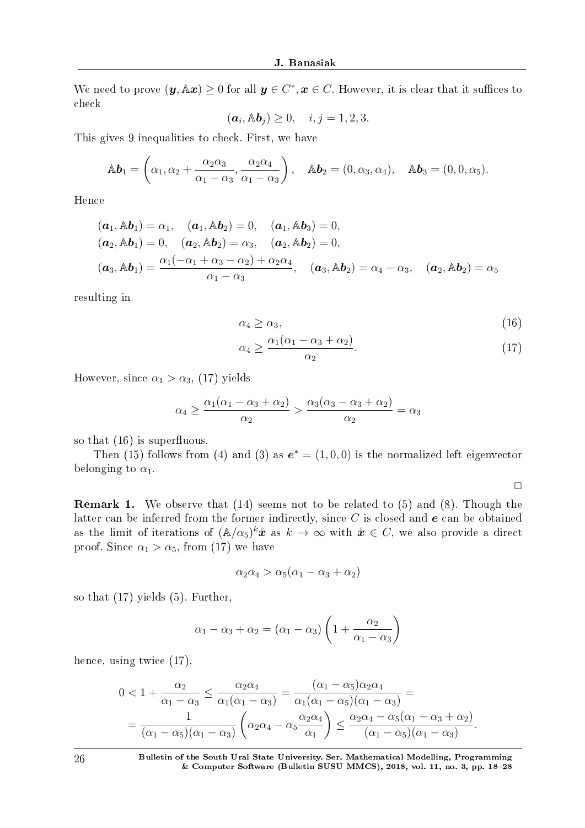We need to prove  $(\bm{y}, \mathbb{A} \bm{x}) \geq 0$  for all  $\bm{y} \in C^*, \bm{x} \in C.$  However, it is clear that it suffices to check

$$
(\boldsymbol{a}_i, \mathbb{A}\boldsymbol{b}_j) \geq 0, \quad i, j = 1, 2, 3.
$$

This gives 9 inequalities to check. First, we have

$$
\mathbb{A}\boldsymbol{b}_1 = \left(\alpha_1, \alpha_2 + \frac{\alpha_2\alpha_3}{\alpha_1 - \alpha_3}, \frac{\alpha_2\alpha_4}{\alpha_1 - \alpha_3}\right), \quad \mathbb{A}\boldsymbol{b}_2 = (0, \alpha_3, \alpha_4), \quad \mathbb{A}\boldsymbol{b}_3 = (0, 0, \alpha_5).
$$

Hence

$$
(\mathbf{a}_1, \mathbb{A}\mathbf{b}_1) = \alpha_1, \quad (\mathbf{a}_1, \mathbb{A}\mathbf{b}_2) = 0, \quad (\mathbf{a}_1, \mathbb{A}\mathbf{b}_3) = 0, (\mathbf{a}_2, \mathbb{A}\mathbf{b}_1) = 0, \quad (\mathbf{a}_2, \mathbb{A}\mathbf{b}_2) = \alpha_3, \quad (\mathbf{a}_2, \mathbb{A}\mathbf{b}_2) = 0, (\mathbf{a}_3, \mathbb{A}\mathbf{b}_1) = \frac{\alpha_1(-\alpha_1 + \alpha_3 - \alpha_2) + \alpha_2\alpha_4}{\alpha_1 - \alpha_3}, \quad (\mathbf{a}_3, \mathbb{A}\mathbf{b}_2) = \alpha_4 - \alpha_3, \quad (\mathbf{a}_2, \mathbb{A}\mathbf{b}_2) = \alpha_5
$$

resulting in

$$
\alpha_4 \ge \alpha_3,\tag{16}
$$

$$
\alpha_4 \ge \frac{\alpha_1(\alpha_1 - \alpha_3 + \alpha_2)}{\alpha_2}.\tag{17}
$$

However, since  $\alpha_1 > \alpha_3$ , (17) yields

$$
\alpha_4 \ge \frac{\alpha_1(\alpha_1 - \alpha_3 + \alpha_2)}{\alpha_2} > \frac{\alpha_3(\alpha_3 - \alpha_3 + \alpha_2)}{\alpha_2} = \alpha_3
$$

so that  $(16)$  is superfluous.

Then (15) follows from (4) and (3) as  $e^* = (1,0,0)$  is the normalized left eigenvector belonging to  $\alpha_1$ .

 $\Box$ 

Remark 1. We observe that (14) seems not to be related to (5) and (8). Though the latter can be inferred from the former indirectly, since *C* is closed and *e* can be obtained as the limit of iterations of  $(A/\alpha_5)^k \mathbf{\hat{x}}$  as  $k \to \infty$  with  $\mathbf{\hat{x}} \in C$ , we also provide a direct proof. Since  $\alpha_1 > \alpha_5$ , from (17) we have

$$
\alpha_2 \alpha_4 > \alpha_5 (\alpha_1 - \alpha_3 + \alpha_2)
$$

so that (17) yields (5). Further,

$$
\alpha_1 - \alpha_3 + \alpha_2 = (\alpha_1 - \alpha_3) \left( 1 + \frac{\alpha_2}{\alpha_1 - \alpha_3} \right)
$$

hence, using twice  $(17)$ ,

$$
0 < 1 + \frac{\alpha_2}{\alpha_1 - \alpha_3} \le \frac{\alpha_2 \alpha_4}{\alpha_1(\alpha_1 - \alpha_3)} = \frac{(\alpha_1 - \alpha_5)\alpha_2 \alpha_4}{\alpha_1(\alpha_1 - \alpha_5)(\alpha_1 - \alpha_3)} =
$$
  
= 
$$
\frac{1}{(\alpha_1 - \alpha_5)(\alpha_1 - \alpha_3)} \left(\alpha_2 \alpha_4 - \alpha_5 \frac{\alpha_2 \alpha_4}{\alpha_1}\right) \le \frac{\alpha_2 \alpha_4 - \alpha_5(\alpha_1 - \alpha_3 + \alpha_2)}{(\alpha_1 - \alpha_5)(\alpha_1 - \alpha_3)}.
$$

26 Bulletin of the South Ural State University. Ser. Mathematical Modelling, Programming  $&$  Computer Software (Bulletin SUSU MMCS), 2018, vol. 11, no. 3, pp. 18-28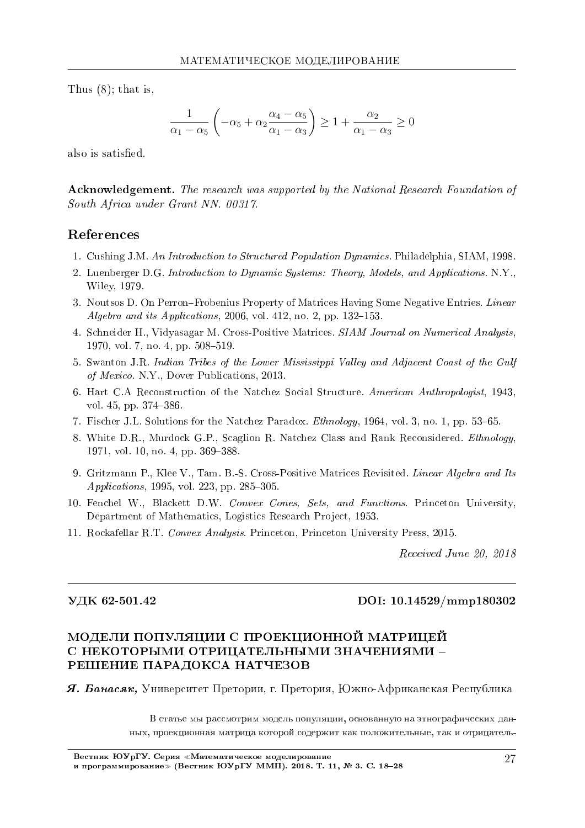Thus  $(8)$ ; that is,

$$
\frac{1}{\alpha_1 - \alpha_5} \left( -\alpha_5 + \alpha_2 \frac{\alpha_4 - \alpha_5}{\alpha_1 - \alpha_3} \right) \ge 1 + \frac{\alpha_2}{\alpha_1 - \alpha_3} \ge 0
$$

also is satisfied.

**Acknowledgement.** The research was supported by the National Research Foundation of South Africa under Grant NN. 00317.

### References

- 1. Cushing J.M. An Introduction to Structured Population Dynamics. Philadelphia. SIAM. 1998.
- 2. Luenberger D.G. Introduction to Dynamic Systems: Theory, Models, and Applications. N.Y., Wiley, 1979.
- 3. Noutsos D. On Perron-Frobenius Property of Matrices Having Some Negative Entries. Linear Algebra and its Applications, 2006, vol. 412, no. 2, pp. 132-153.
- 4. Schneider H., Vidyasagar M. Cross-Positive Matrices. SIAM Journal on Numerical Analysis, 1970, vol. 7, no. 4, pp. 508-519.
- 5. Swanton J.R. Indian Tribes of the Lower Mississippi Valley and Adjacent Coast of the Gulf of Mexico. N.Y., Dover Publications, 2013.
- 6. Hart C.A Reconstruction of the Natchez Social Structure. American Anthropologist, 1943, vol.  $45$ , pp.  $374-386$
- 7. Fischer J.L. Solutions for the Natchez Paradox. *Ethnology*, 1964, vol. 3, no. 1, pp. 53–65.
- 8. White D.R., Murdock G.P., Scaglion R. Natchez Class and Rank Reconsidered. *Ethnology*, 1971, vol. 10, no. 4, pp. 369-388
- 9. Gritzmann P., Klee V., Tam. B.-S. Cross-Positive Matrices Revisited. Linear Algebra and Its Applications, 1995, vol. 223, pp. 285-305.
- 10. Fenchel W., Blackett D.W. Convex Cones, Sets, and Functions. Princeton University, Department of Mathematics, Logistics Research Project, 1953.
- 11. Rockafellar R.T. Convex Analysis. Princeton, Princeton University Press, 2015.

Received June 20, 2018

### УДК 62-501.42

#### DOI: 10.14529/mmp180302

## МОДЕЛИ ПОПУЛЯЦИИ С ПРОЕКЦИОННОЙ МАТРИЦЕЙ С НЕКОТОРЫМИ ОТРИЦАТЕЛЬНЫМИ ЗНАЧЕНИЯМИ -РЕШЕНИЕ ПАРАДОКСА НАТЧЕЗОВ

**Я. Банасяк,** Университет Претории, г. Претория, Южно-Африканская Республика

В статье мы рассмотрим модель популяции, основанную на этнографических данных, проекционная матрица которой содержит как положительные, так и отрицатель-